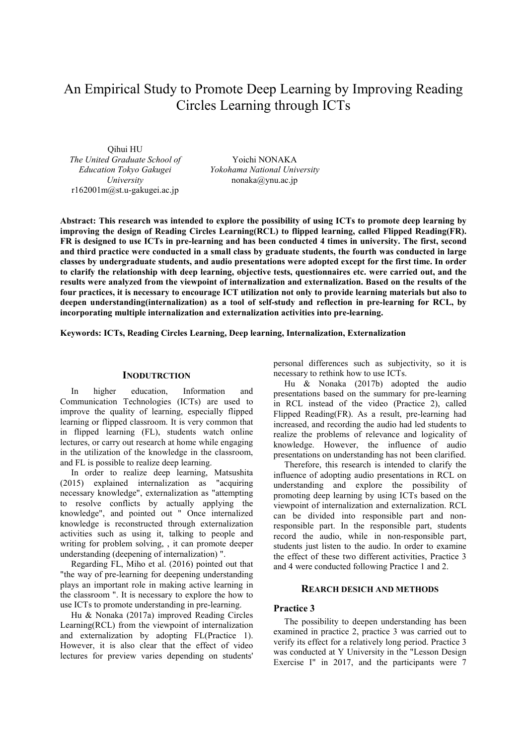# An Empirical Study to Promote Deep Learning by Improving Reading Circles Learning through ICTs

Qihui HU *The United Graduate School of Education Tokyo Gakugei University* r162001m@st.u-gakugei.ac.jp

Yoichi NONAKA *Yokohama National University* nonaka@ynu.ac.jp

**Abstract: This research was intended to explore the possibility of using ICTs to promote deep learning by improving the design of Reading Circles Learning(RCL) to flipped learning, called Flipped Reading(FR). FR is designed to use ICTs in pre-learning and has been conducted 4 times in university. The first, second and third practice were conducted in a small class by graduate students, the fourth was conducted in large classes by undergraduate students, and audio presentations were adopted except for the first time. In order to clarify the relationship with deep learning, objective tests, questionnaires etc. were carried out, and the results were analyzed from the viewpoint of internalization and externalization. Based on the results of the four practices, it is necessary to encourage ICT utilization not only to provide learning materials but also to deepen understanding(internalization) as a tool of self-study and reflection in pre-learning for RCL, by incorporating multiple internalization and externalization activities into pre-learning.**

**Keywords: ICTs, Reading Circles Learning, Deep learning, Internalization, Externalization**

# **INODUTRCTION**

In higher education, Information and Communication Technologies (ICTs) are used to improve the quality of learning, especially flipped learning or flipped classroom. It is very common that in flipped learning (FL), students watch online lectures, or carry out research at home while engaging in the utilization of the knowledge in the classroom, and FL is possible to realize deep learning.

In order to realize deep learning, Matsushita (2015) explained internalization as "acquiring necessary knowledge", externalization as "attempting to resolve conflicts by actually applying the knowledge", and pointed out " Once internalized knowledge is reconstructed through externalization activities such as using it, talking to people and writing for problem solving, , it can promote deeper understanding (deepening of internalization) ".

Regarding FL, Miho et al. (2016) pointed out that "the way of pre-learning for deepening understanding plays an important role in making active learning in the classroom ". It is necessary to explore the how to use ICTs to promote understanding in pre-learning.

Hu & Nonaka (2017a) improved Reading Circles Learning(RCL) from the viewpoint of internalization and externalization by adopting FL(Practice 1). However, it is also clear that the effect of video lectures for preview varies depending on students'

personal differences such as subjectivity, so it is necessary to rethink how to use ICTs.

Hu & Nonaka (2017b) adopted the audio presentations based on the summary for pre-learning in RCL instead of the video (Practice 2), called Flipped Reading(FR). As a result, pre-learning had increased, and recording the audio had led students to realize the problems of relevance and logicality of knowledge. However, the influence of audio presentations on understanding has not been clarified.

Therefore, this research is intended to clarify the influence of adopting audio presentations in RCL on understanding and explore the possibility of promoting deep learning by using ICTs based on the viewpoint of internalization and externalization. RCL can be divided into responsible part and nonresponsible part. In the responsible part, students record the audio, while in non-responsible part, students just listen to the audio. In order to examine the effect of these two different activities, Practice 3 and 4 were conducted following Practice 1 and 2.

## **REARCH DESICH AND METHODS**

# **Practice 3**

The possibility to deepen understanding has been examined in practice 2, practice 3 was carried out to verify its effect for a relatively long period. Practice 3 was conducted at Y University in the "Lesson Design Exercise I" in 2017, and the participants were 7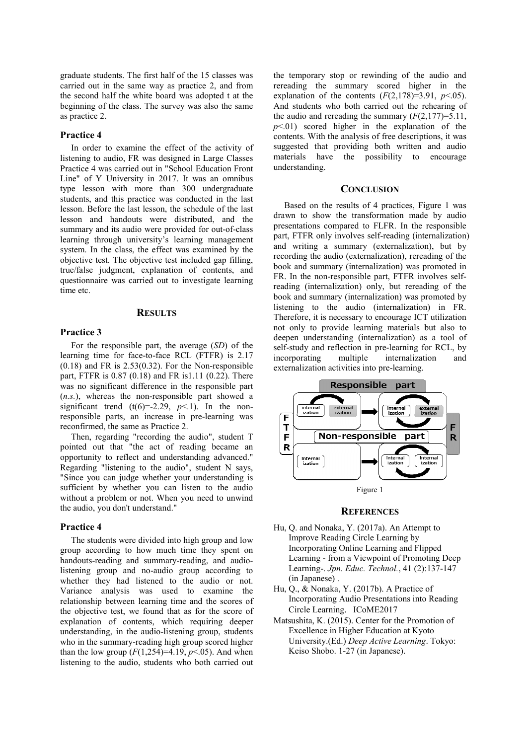graduate students. The first half of the 15 classes was carried out in the same way as practice 2, and from the second half the white board was adopted t at the beginning of the class. The survey was also the same as practice 2.

## **Practice 4**

In order to examine the effect of the activity of listening to audio, FR was designed in Large Classes Practice 4 was carried out in "School Education Front Line" of Y University in 2017. It was an omnibus type lesson with more than 300 undergraduate students, and this practice was conducted in the last lesson. Before the last lesson, the schedule of the last lesson and handouts were distributed, and the summary and its audio were provided for out-of-class learning through university's learning management system. In the class, the effect was examined by the objective test. The objective test included gap filling, true/false judgment, explanation of contents, and questionnaire was carried out to investigate learning time etc.

#### **RESULTS**

## **Practice 3**

For the responsible part, the average (*SD*) of the learning time for face-to-face RCL (FTFR) is 2.17  $(0.18)$  and FR is 2.53 $(0.32)$ . For the Non-responsible part, FTFR is 0.87 (0.18) and FR is1.11 (0.22). There was no significant difference in the responsible part (*n.s.*), whereas the non-responsible part showed a significant trend  $(t(6)=2.29, p<1)$ . In the nonresponsible parts, an increase in pre-learning was reconfirmed, the same as Practice 2.

Then, regarding "recording the audio", student T pointed out that "the act of reading became an opportunity to reflect and understanding advanced." Regarding "listening to the audio", student N says, "Since you can judge whether your understanding is sufficient by whether you can listen to the audio without a problem or not. When you need to unwind the audio, you don't understand."

## **Practice 4**

The students were divided into high group and low group according to how much time they spent on handouts-reading and summary-reading, and audiolistening group and no-audio group according to whether they had listened to the audio or not. Variance analysis was used to examine the relationship between learning time and the scores of the objective test, we found that as for the score of explanation of contents, which requiring deeper understanding, in the audio-listening group, students who in the summary-reading high group scored higher than the low group  $(F(1,254)=4.19, p<.05)$ . And when listening to the audio, students who both carried out

the temporary stop or rewinding of the audio and rereading the summary scored higher in the explanation of the contents  $(F(2,178)=3.91, p<.05)$ . And students who both carried out the rehearing of the audio and rereading the summary  $(F(2,177)=5.11)$ ,  $p<01$ ) scored higher in the explanation of the contents. With the analysis of free descriptions, it was suggested that providing both written and audio materials have the possibility to encourage understanding.

# **CONCLUSION**

Based on the results of 4 practices, Figure 1 was drawn to show the transformation made by audio presentations compared to FLFR. In the responsible part, FTFR only involves self-reading (internalization) and writing a summary (externalization), but by recording the audio (externalization), rereading of the book and summary (internalization) was promoted in FR. In the non-responsible part, FTFR involves selfreading (internalization) only, but rereading of the book and summary (internalization) was promoted by listening to the audio (internalization) in FR. Therefore, it is necessary to encourage ICT utilization not only to provide learning materials but also to deepen understanding (internalization) as a tool of self-study and reflection in pre-learning for RCL, by incorporating multiple internalization and externalization activities into pre-learning.



#### **REFERENCES**

- Hu, Q. and Nonaka, Y. (2017a). An Attempt to Improve Reading Circle Learning by Incorporating Online Learning and Flipped Learning - from a Viewpoint of Promoting Deep Learning-. *Jpn. Educ. Technol.*, 41 (2):137-147 (in Japanese) .
- Hu, Q., & Nonaka, Y. (2017b). A Practice of Incorporating Audio Presentations into Reading Circle Learning. ICoME2017
- Matsushita, K. (2015). Center for the Promotion of Excellence in Higher Education at Kyoto University.(Ed.) *Deep Active Learning*. Tokyo: Keiso Shobo. 1-27 (in Japanese).